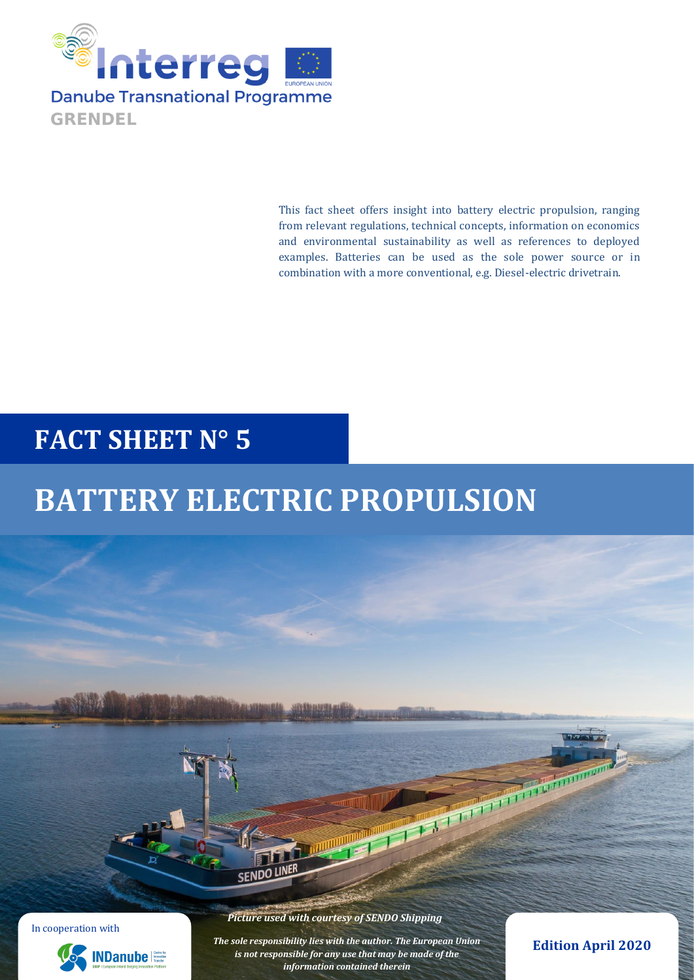

This fact sheet offers insight into battery electric propulsion, ranging from relevant regulations, technical concepts, information on economics and environmental sustainability as well as references to deployed examples. Batteries can be used as the sole power source or in combination with a more conventional, e.g. Diesel-electric drivetrain.

# **FACT SHEET N° 5**

# **BATTERY ELECTRIC PROPULSION**

In cooperation with



*Picture used with courtesy of SENDO Shipping*

SENDO LINER

*The sole responsibility lies with the author. The European Union is not responsible for any use that may be made of the information contained therein*

**Edition April 2020**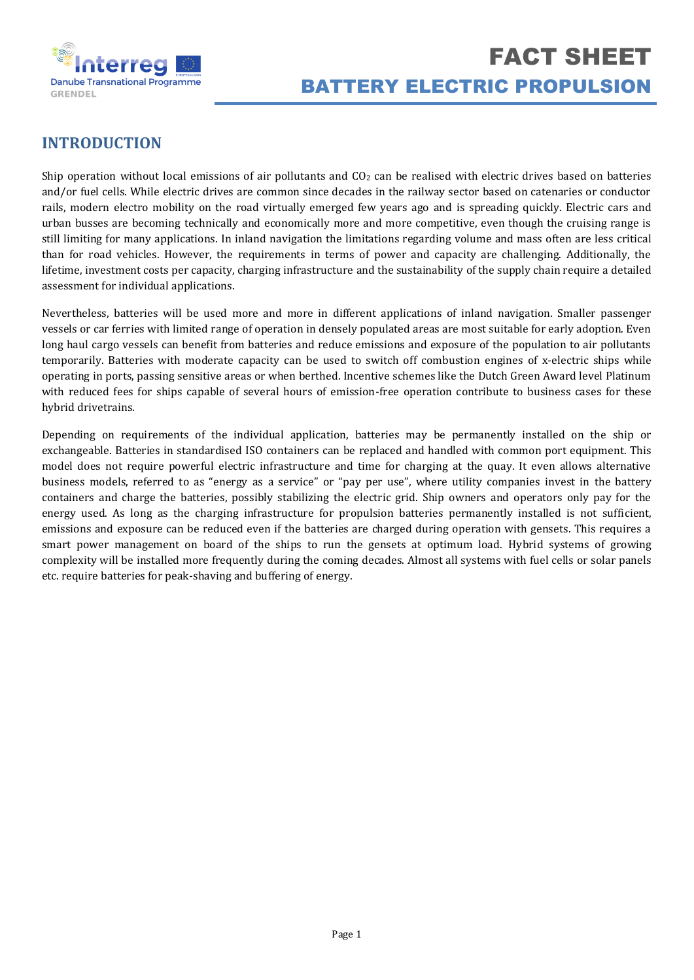

# **INTRODUCTION**

Ship operation without local emissions of air pollutants and  $CO<sub>2</sub>$  can be realised with electric drives based on batteries and/or fuel cells. While electric drives are common since decades in the railway sector based on catenaries or conductor rails, modern electro mobility on the road virtually emerged few years ago and is spreading quickly. Electric cars and urban busses are becoming technically and economically more and more competitive, even though the cruising range is still limiting for many applications. In inland navigation the limitations regarding volume and mass often are less critical than for road vehicles. However, the requirements in terms of power and capacity are challenging. Additionally, the lifetime, investment costs per capacity, charging infrastructure and the sustainability of the supply chain require a detailed assessment for individual applications.

Nevertheless, batteries will be used more and more in different applications of inland navigation. Smaller passenger vessels or car ferries with limited range of operation in densely populated areas are most suitable for early adoption. Even long haul cargo vessels can benefit from batteries and reduce emissions and exposure of the population to air pollutants temporarily. Batteries with moderate capacity can be used to switch off combustion engines of x-electric ships while operating in ports, passing sensitive areas or when berthed. Incentive schemes like the Dutch Green Award level Platinum with reduced fees for ships capable of several hours of emission-free operation contribute to business cases for these hybrid drivetrains.

Depending on requirements of the individual application, batteries may be permanently installed on the ship or exchangeable. Batteries in standardised ISO containers can be replaced and handled with common port equipment. This model does not require powerful electric infrastructure and time for charging at the quay. It even allows alternative business models, referred to as "energy as a service" or "pay per use", where utility companies invest in the battery containers and charge the batteries, possibly stabilizing the electric grid. Ship owners and operators only pay for the energy used. As long as the charging infrastructure for propulsion batteries permanently installed is not sufficient, emissions and exposure can be reduced even if the batteries are charged during operation with gensets. This requires a smart power management on board of the ships to run the gensets at optimum load. Hybrid systems of growing complexity will be installed more frequently during the coming decades. Almost all systems with fuel cells or solar panels etc. require batteries for peak-shaving and buffering of energy.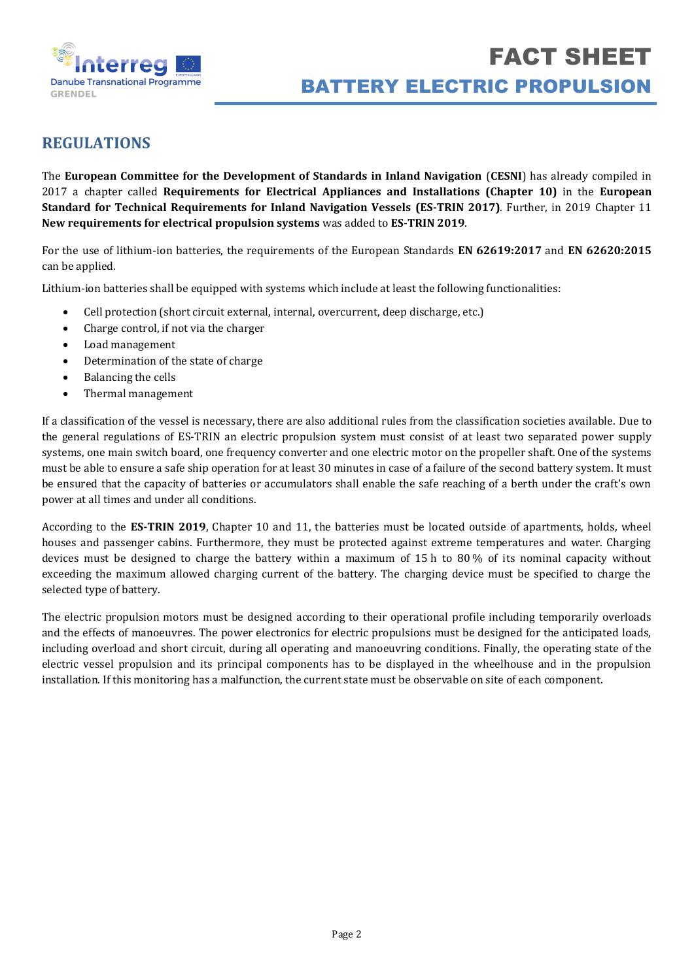

# **REGULATIONS**

The **European Committee for the Development of Standards in Inland Navigation** (**CESNI**) has already compiled in 2017 a chapter called **Requirements for Electrical Appliances and Installations (Chapter 10)** in the **European Standard for Technical Requirements for Inland Navigation Vessels (ES-TRIN 2017)**. Further, in 2019 Chapter 11 **New requirements for electrical propulsion systems** was added to **ES-TRIN 2019**.

For the use of lithium-ion batteries, the requirements of the European Standards **EN 62619:2017** and **EN 62620:2015** can be applied.

Lithium-ion batteries shall be equipped with systems which include at least the following functionalities:

- Cell protection (short circuit external, internal, overcurrent, deep discharge, etc.)
- Charge control, if not via the charger
- Load management
- Determination of the state of charge
- Balancing the cells
- Thermal management

If a classification of the vessel is necessary, there are also additional rules from the classification societies available. Due to the general regulations of ES-TRIN an electric propulsion system must consist of at least two separated power supply systems, one main switch board, one frequency converter and one electric motor on the propeller shaft. One of the systems must be able to ensure a safe ship operation for at least 30 minutes in case of a failure of the second battery system. It must be ensured that the capacity of batteries or accumulators shall enable the safe reaching of a berth under the craft's own power at all times and under all conditions.

According to the **ES-TRIN 2019**, Chapter 10 and 11, the batteries must be located outside of apartments, holds, wheel houses and passenger cabins. Furthermore, they must be protected against extreme temperatures and water. Charging devices must be designed to charge the battery within a maximum of 15 h to 80 % of its nominal capacity without exceeding the maximum allowed charging current of the battery. The charging device must be specified to charge the selected type of battery.

The electric propulsion motors must be designed according to their operational profile including temporarily overloads and the effects of manoeuvres. The power electronics for electric propulsions must be designed for the anticipated loads, including overload and short circuit, during all operating and manoeuvring conditions. Finally, the operating state of the electric vessel propulsion and its principal components has to be displayed in the wheelhouse and in the propulsion installation. If this monitoring has a malfunction, the current state must be observable on site of each component.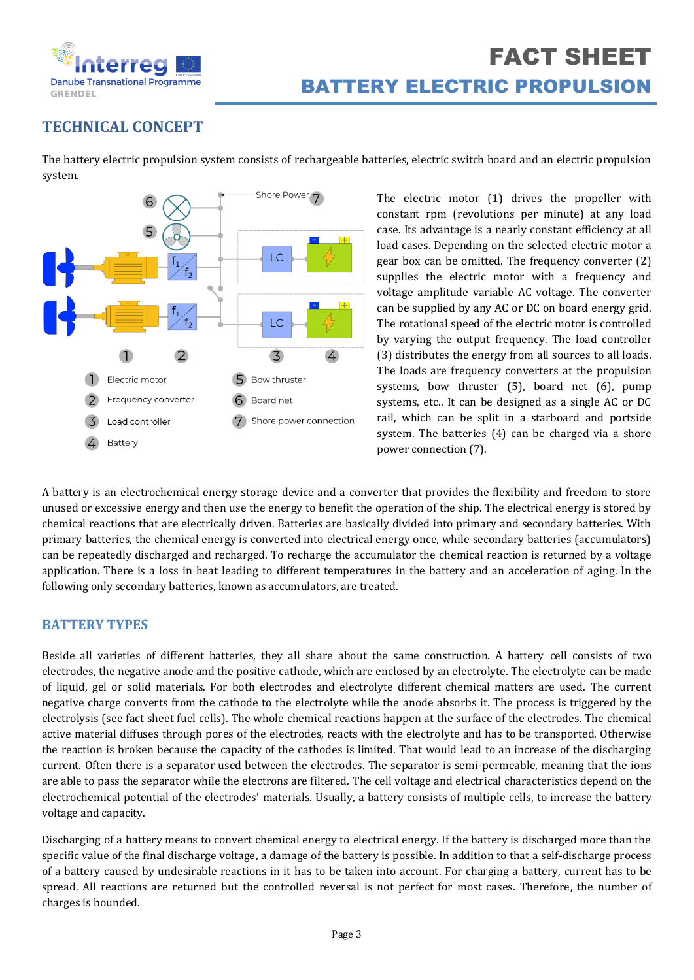

# **TECHNICAL CONCEPT**

The battery electric propulsion system consists of rechargeable batteries, electric switch board and an electric propulsion system.



The electric motor (1) drives the propeller with constant rpm (revolutions per minute) at any load case. Its advantage is a nearly constant efficiency at all load cases. Depending on the selected electric motor a gear box can be omitted. The frequency converter (2) supplies the electric motor with a frequency and voltage amplitude variable AC voltage. The converter can be supplied by any AC or DC on board energy grid. The rotational speed of the electric motor is controlled by varying the output frequency. The load controller (3) distributes the energy from all sources to all loads. The loads are frequency converters at the propulsion systems, bow thruster (5), board net (6), pump systems, etc.. It can be designed as a single AC or DC rail, which can be split in a starboard and portside system. The batteries (4) can be charged via a shore power connection (7).

A battery is an electrochemical energy storage device and a converter that provides the flexibility and freedom to store unused or excessive energy and then use the energy to benefit the operation of the ship. The electrical energy is stored by chemical reactions that are electrically driven. Batteries are basically divided into primary and secondary batteries. With primary batteries, the chemical energy is converted into electrical energy once, while secondary batteries (accumulators) can be repeatedly discharged and recharged. To recharge the accumulator the chemical reaction is returned by a voltage application. There is a loss in heat leading to different temperatures in the battery and an acceleration of aging. In the following only secondary batteries, known as accumulators, are treated.

# **BATTERY TYPES**

Beside all varieties of different batteries, they all share about the same construction. A battery cell consists of two electrodes, the negative anode and the positive cathode, which are enclosed by an electrolyte. The electrolyte can be made of liquid, gel or solid materials. For both electrodes and electrolyte different chemical matters are used. The current negative charge converts from the cathode to the electrolyte while the anode absorbs it. The process is triggered by the electrolysis (see fact sheet fuel cells). The whole chemical reactions happen at the surface of the electrodes. The chemical active material diffuses through pores of the electrodes, reacts with the electrolyte and has to be transported. Otherwise the reaction is broken because the capacity of the cathodes is limited. That would lead to an increase of the discharging current. Often there is a separator used between the electrodes. The separator is semi-permeable, meaning that the ions are able to pass the separator while the electrons are filtered. The cell voltage and electrical characteristics depend on the electrochemical potential of the electrodes' materials. Usually, a battery consists of multiple cells, to increase the battery voltage and capacity.

Discharging of a battery means to convert chemical energy to electrical energy. If the battery is discharged more than the specific value of the final discharge voltage, a damage of the battery is possible. In addition to that a self-discharge process of a battery caused by undesirable reactions in it has to be taken into account. For charging a battery, current has to be spread. All reactions are returned but the controlled reversal is not perfect for most cases. Therefore, the number of charges is bounded.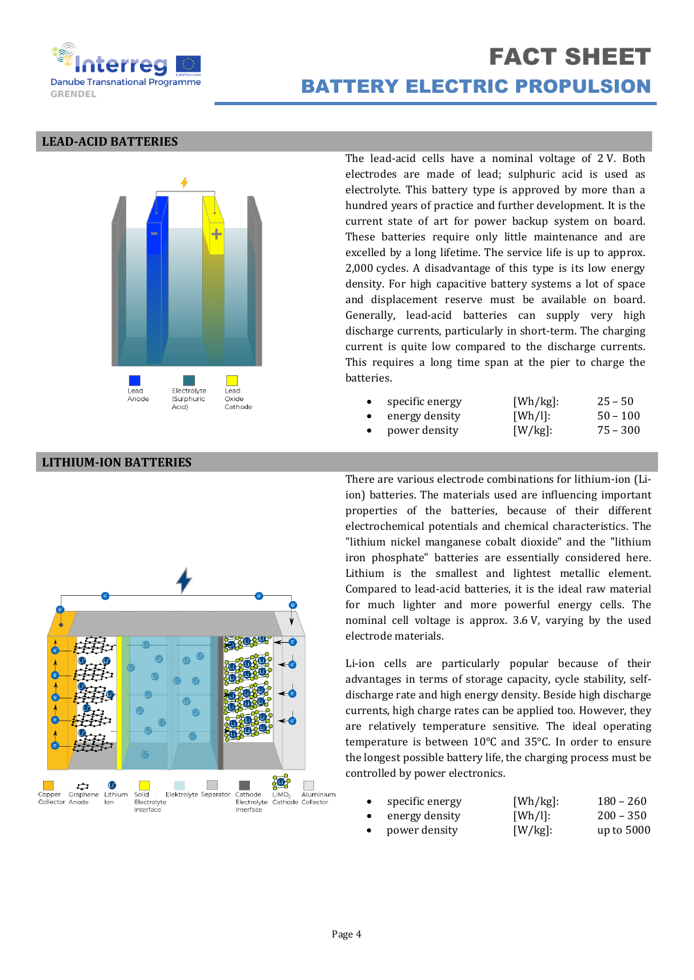

# FACT SHEET BATTERY ELECTRIC PROPULSION

### **LEAD-ACID BATTERIES**



The lead-acid cells have a nominal voltage of 2 V. Both electrodes are made of lead; sulphuric acid is used as electrolyte. This battery type is approved by more than a hundred years of practice and further development. It is the current state of art for power backup system on board. These batteries require only little maintenance and are excelled by a long lifetime. The service life is up to approx. 2,000 cycles. A disadvantage of this type is its low energy density. For high capacitive battery systems a lot of space and displacement reserve must be available on board. Generally, lead-acid batteries can supply very high discharge currents, particularly in short-term. The charging current is quite low compared to the discharge currents. This requires a long time span at the pier to charge the batteries.

| specific energy | [Wh/kg]:   | $25 - 50$  |
|-----------------|------------|------------|
| energy density  | [Wh/l]:    | $50 - 100$ |
| power density   | $[W/kg]$ : | $75 - 300$ |

### **LITHIUM-ION BATTERIES**



There are various electrode combinations for lithium-ion (Liion) batteries. The materials used are influencing important properties of the batteries, because of their different electrochemical potentials and chemical characteristics. The "lithium nickel manganese cobalt dioxide" and the "lithium iron phosphate" batteries are essentially considered here. Lithium is the smallest and lightest metallic element. Compared to lead-acid batteries, it is the ideal raw material for much lighter and more powerful energy cells. The nominal cell voltage is approx. 3.6 V, varying by the used electrode materials.

Li-ion cells are particularly popular because of their advantages in terms of storage capacity, cycle stability, selfdischarge rate and high energy density. Beside high discharge currents, high charge rates can be applied too. However, they are relatively temperature sensitive. The ideal operating temperature is between 10°C and 35°C. In order to ensure the longest possible battery life, the charging process must be controlled by power electronics.

|           | specific energy | [Wh/kg]:   | $180 - 260$  |
|-----------|-----------------|------------|--------------|
| $\bullet$ | energy density  | [Wh/l]:    | $200 - 350$  |
|           | power density   | $[W/kg]$ : | up to $5000$ |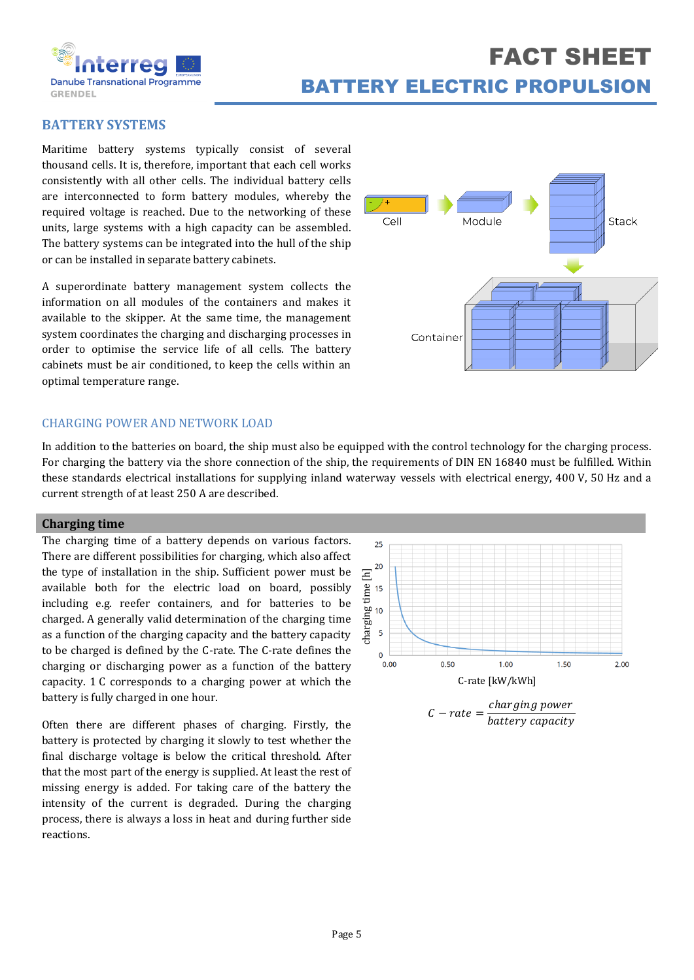

# FACT SHEET BATTERY ELECTRIC PROPULSION

# **BATTERY SYSTEMS**

Maritime battery systems typically consist of several thousand cells. It is, therefore, important that each cell works consistently with all other cells. The individual battery cells are interconnected to form battery modules, whereby the required voltage is reached. Due to the networking of these units, large systems with a high capacity can be assembled. The battery systems can be integrated into the hull of the ship or can be installed in separate battery cabinets.

A superordinate battery management system collects the information on all modules of the containers and makes it available to the skipper. At the same time, the management system coordinates the charging and discharging processes in order to optimise the service life of all cells. The battery cabinets must be air conditioned, to keep the cells within an optimal temperature range.



### CHARGING POWER AND NETWORK LOAD

In addition to the batteries on board, the ship must also be equipped with the control technology for the charging process. For charging the battery via the shore connection of the ship, the requirements of DIN EN 16840 must be fulfilled. Within these standards electrical installations for supplying inland waterway vessels with electrical energy, 400 V, 50 Hz and a current strength of at least 250 A are described.

### **Charging time**

The charging time of a battery depends on various factors. There are different possibilities for charging, which also affect the type of installation in the ship. Sufficient power must be available both for the electric load on board, possibly including e.g. reefer containers, and for batteries to be charged. A generally valid determination of the charging time as a function of the charging capacity and the battery capacity to be charged is defined by the C-rate. The C-rate defines the charging or discharging power as a function of the battery capacity. 1 C corresponds to a charging power at which the battery is fully charged in one hour.

Often there are different phases of charging. Firstly, the battery is protected by charging it slowly to test whether the final discharge voltage is below the critical threshold. After that the most part of the energy is supplied. At least the rest of missing energy is added. For taking care of the battery the intensity of the current is degraded. During the charging process, there is always a loss in heat and during further side reactions.



battery capacity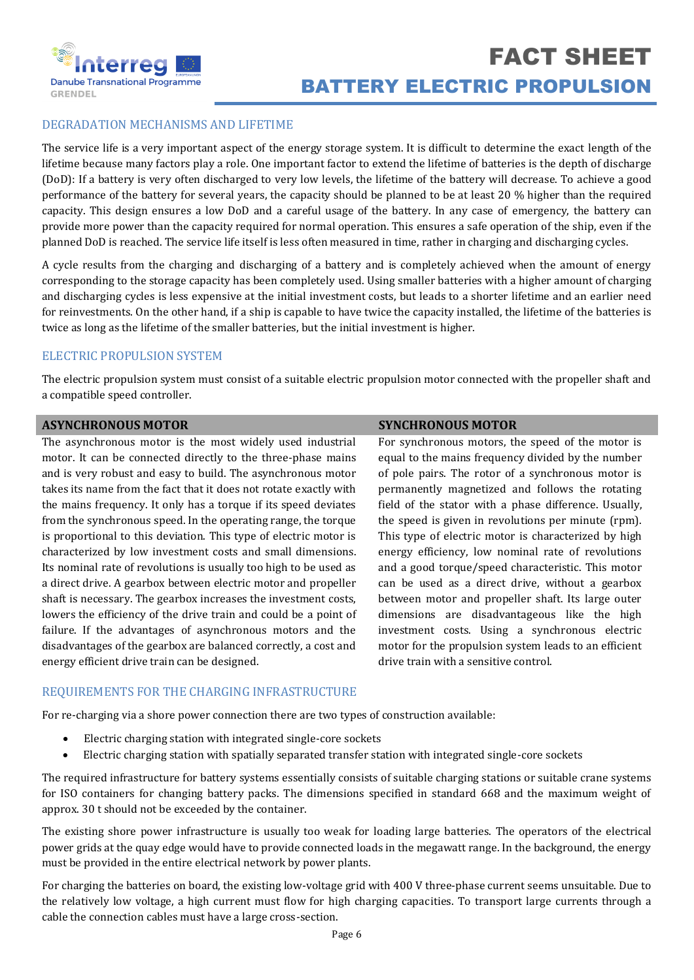

## DEGRADATION MECHANISMS AND LIFETIME

The service life is a very important aspect of the energy storage system. It is difficult to determine the exact length of the lifetime because many factors play a role. One important factor to extend the lifetime of batteries is the depth of discharge (DoD): If a battery is very often discharged to very low levels, the lifetime of the battery will decrease. To achieve a good performance of the battery for several years, the capacity should be planned to be at least 20 % higher than the required capacity. This design ensures a low DoD and a careful usage of the battery. In any case of emergency, the battery can provide more power than the capacity required for normal operation. This ensures a safe operation of the ship, even if the planned DoD is reached. The service life itself is less often measured in time, rather in charging and discharging cycles.

A cycle results from the charging and discharging of a battery and is completely achieved when the amount of energy corresponding to the storage capacity has been completely used. Using smaller batteries with a higher amount of charging and discharging cycles is less expensive at the initial investment costs, but leads to a shorter lifetime and an earlier need for reinvestments. On the other hand, if a ship is capable to have twice the capacity installed, the lifetime of the batteries is twice as long as the lifetime of the smaller batteries, but the initial investment is higher.

## ELECTRIC PROPULSION SYSTEM

The electric propulsion system must consist of a suitable electric propulsion motor connected with the propeller shaft and a compatible speed controller.

### **ASYNCHRONOUS MOTOR SYNCHRONOUS MOTOR**

The asynchronous motor is the most widely used industrial motor. It can be connected directly to the three-phase mains and is very robust and easy to build. The asynchronous motor takes its name from the fact that it does not rotate exactly with the mains frequency. It only has a torque if its speed deviates from the synchronous speed. In the operating range, the torque is proportional to this deviation. This type of electric motor is characterized by low investment costs and small dimensions. Its nominal rate of revolutions is usually too high to be used as a direct drive. A gearbox between electric motor and propeller shaft is necessary. The gearbox increases the investment costs, lowers the efficiency of the drive train and could be a point of failure. If the advantages of asynchronous motors and the disadvantages of the gearbox are balanced correctly, a cost and energy efficient drive train can be designed.

For synchronous motors, the speed of the motor is equal to the mains frequency divided by the number of pole pairs. The rotor of a synchronous motor is permanently magnetized and follows the rotating field of the stator with a phase difference. Usually, the speed is given in revolutions per minute (rpm). This type of electric motor is characterized by high energy efficiency, low nominal rate of revolutions and a good torque/speed characteristic. This motor can be used as a direct drive, without a gearbox between motor and propeller shaft. Its large outer dimensions are disadvantageous like the high investment costs. Using a synchronous electric motor for the propulsion system leads to an efficient drive train with a sensitive control.

### REQUIREMENTS FOR THE CHARGING INFRASTRUCTURE

For re-charging via a shore power connection there are two types of construction available:

- Electric charging station with integrated single-core sockets
- Electric charging station with spatially separated transfer station with integrated single-core sockets

The required infrastructure for battery systems essentially consists of suitable charging stations or suitable crane systems for ISO containers for changing battery packs. The dimensions specified in standard 668 and the maximum weight of approx. 30 t should not be exceeded by the container.

The existing shore power infrastructure is usually too weak for loading large batteries. The operators of the electrical power grids at the quay edge would have to provide connected loads in the megawatt range. In the background, the energy must be provided in the entire electrical network by power plants.

For charging the batteries on board, the existing low-voltage grid with 400 V three-phase current seems unsuitable. Due to the relatively low voltage, a high current must flow for high charging capacities. To transport large currents through a cable the connection cables must have a large cross-section.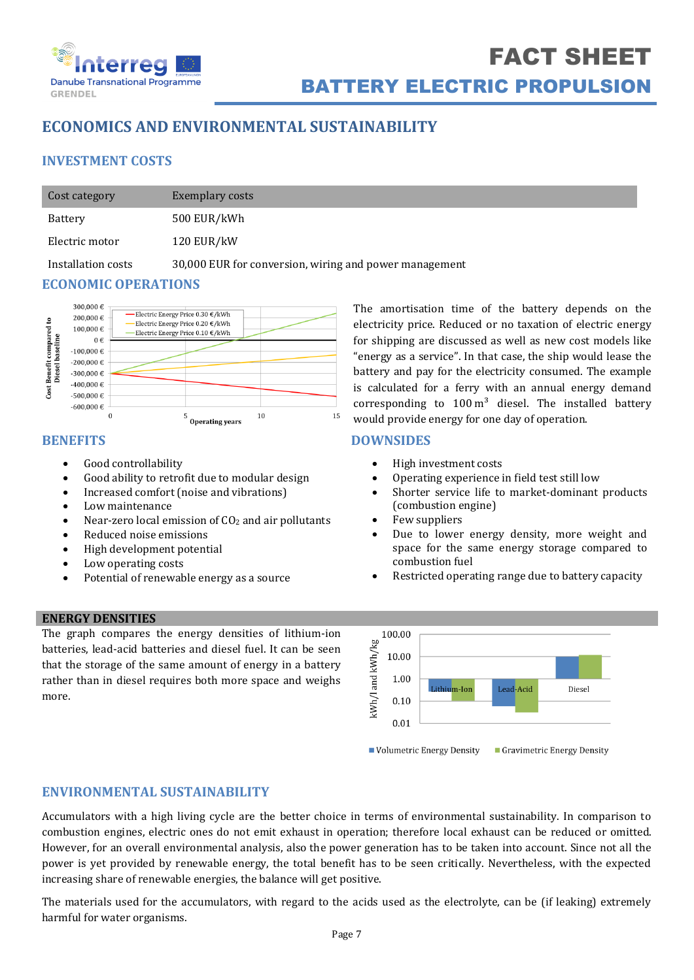

# **ECONOMICS AND ENVIRONMENTAL SUSTAINABILITY**

# **INVESTMENT COSTS**

| Cost category  | Exemplary costs |
|----------------|-----------------|
| Battery        | 500 EUR/kWh     |
| Electric motor | 120 EUR/kW      |

Installation costs 30,000 EUR for conversion, wiring and power management

# **ECONOMIC OPERATIONS**



# **BENEFITS**

- Good controllability
- Good ability to retrofit due to modular design
- Increased comfort (noise and vibrations)
- Low maintenance
- Near-zero local emission of CO<sub>2</sub> and air pollutants
- Reduced noise emissions
- High development potential
- Low operating costs
- Potential of renewable energy as a source

The amortisation time of the battery depends on the electricity price. Reduced or no taxation of electric energy for shipping are discussed as well as new cost models like "energy as a service". In that case, the ship would lease the battery and pay for the electricity consumed. The example is calculated for a ferry with an annual energy demand corresponding to  $100 \text{ m}^3$  diesel. The installed battery would provide energy for one day of operation.

# **DOWNSIDES**

- High investment costs
- Operating experience in field test still low
- Shorter service life to market-dominant products (combustion engine)
- Few suppliers
- Due to lower energy density, more weight and space for the same energy storage compared to combustion fuel
- Restricted operating range due to battery capacity

## **ENERGY DENSITIES**

The graph compares the energy densities of lithium-ion batteries, lead-acid batteries and diesel fuel. It can be seen that the storage of the same amount of energy in a battery rather than in diesel requires both more space and weighs more.



# **ENVIRONMENTAL SUSTAINABILITY**

Accumulators with a high living cycle are the better choice in terms of environmental sustainability. In comparison to combustion engines, electric ones do not emit exhaust in operation; therefore local exhaust can be reduced or omitted. However, for an overall environmental analysis, also the power generation has to be taken into account. Since not all the power is yet provided by renewable energy, the total benefit has to be seen critically. Nevertheless, with the expected increasing share of renewable energies, the balance will get positive.

The materials used for the accumulators, with regard to the acids used as the electrolyte, can be (if leaking) extremely harmful for water organisms.